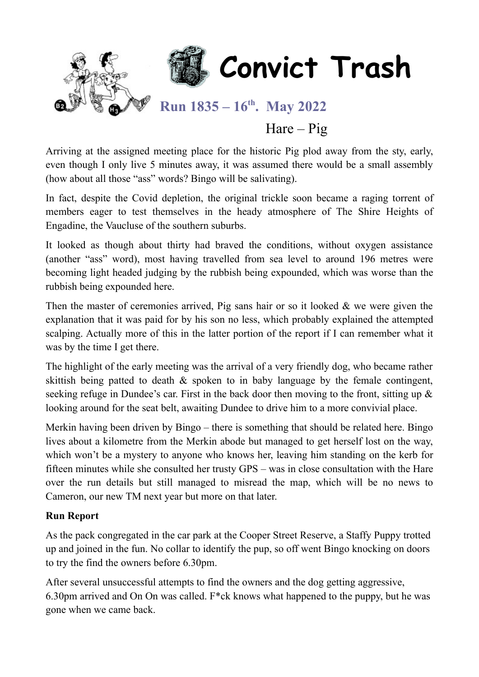

## $Hare - Pig$

Arriving at the assigned meeting place for the historic Pig plod away from the sty, early, even though I only live 5 minutes away, it was assumed there would be a small assembly (how about all those "ass" words? Bingo will be salivating).

In fact, despite the Covid depletion, the original trickle soon became a raging torrent of members eager to test themselves in the heady atmosphere of The Shire Heights of Engadine, the Vaucluse of the southern suburbs.

It looked as though about thirty had braved the conditions, without oxygen assistance (another "ass" word), most having travelled from sea level to around 196 metres were becoming light headed judging by the rubbish being expounded, which was worse than the rubbish being expounded here.

Then the master of ceremonies arrived, Pig sans hair or so it looked & we were given the explanation that it was paid for by his son no less, which probably explained the attempted scalping. Actually more of this in the latter portion of the report if I can remember what it was by the time I get there.

The highlight of the early meeting was the arrival of a very friendly dog, who became rather skittish being patted to death & spoken to in baby language by the female contingent, seeking refuge in Dundee's car. First in the back door then moving to the front, sitting up & looking around for the seat belt, awaiting Dundee to drive him to a more convivial place.

Merkin having been driven by Bingo – there is something that should be related here. Bingo lives about a kilometre from the Merkin abode but managed to get herself lost on the way, which won't be a mystery to anyone who knows her, leaving him standing on the kerb for fifteen minutes while she consulted her trusty GPS – was in close consultation with the Hare over the run details but still managed to misread the map, which will be no news to Cameron, our new TM next year but more on that later.

### **Run Report**

As the pack congregated in the car park at the Cooper Street Reserve, a Staffy Puppy trotted up and joined in the fun. No collar to identify the pup, so off went Bingo knocking on doors to try the find the owners before 6.30pm.

After several unsuccessful attempts to find the owners and the dog getting aggressive, 6.30pm arrived and On On was called. F\*ck knows what happened to the puppy, but he was gone when we came back.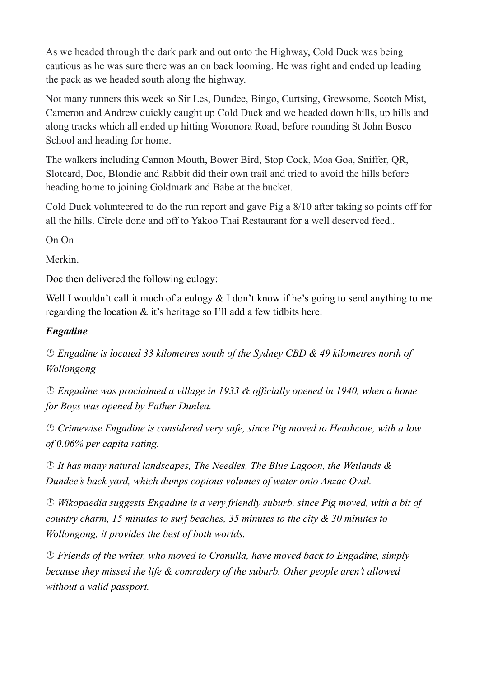As we headed through the dark park and out onto the Highway, Cold Duck was being cautious as he was sure there was an on back looming. He was right and ended up leading the pack as we headed south along the highway.

Not many runners this week so Sir Les, Dundee, Bingo, Curtsing, Grewsome, Scotch Mist, Cameron and Andrew quickly caught up Cold Duck and we headed down hills, up hills and along tracks which all ended up hitting Woronora Road, before rounding St John Bosco School and heading for home.

The walkers including Cannon Mouth, Bower Bird, Stop Cock, Moa Goa, Sniffer, QR, Slotcard, Doc, Blondie and Rabbit did their own trail and tried to avoid the hills before heading home to joining Goldmark and Babe at the bucket.

Cold Duck volunteered to do the run report and gave Pig a 8/10 after taking so points off for all the hills. Circle done and off to Yakoo Thai Restaurant for a well deserved feed..

On On

Merkin.

Doc then delivered the following eulogy:

Well I wouldn't call it much of a eulogy & I don't know if he's going to send anything to me regarding the location & it's heritage so I'll add a few tidbits here:

### *Engadine*

 *Engadine is located 33 kilometres south of the Sydney CBD & 49 kilometres north of Wollongong*

 *Engadine was proclaimed a village in 1933 & officially opened in 1940, when a home for Boys was opened by Father Dunlea.*

 *Crimewise Engadine is considered very safe, since Pig moved to Heathcote, with a low of 0.06% per capita rating.*

 *It has many natural landscapes, The Needles, The Blue Lagoon, the Wetlands & Dundee's back yard, which dumps copious volumes of water onto Anzac Oval.*

 *Wikopaedia suggests Engadine is a very friendly suburb, since Pig moved, with a bit of country charm, 15 minutes to surf beaches, 35 minutes to the city & 30 minutes to Wollongong, it provides the best of both worlds.*

 *Friends of the writer, who moved to Cronulla, have moved back to Engadine, simply because they missed the life & comradery of the suburb. Other people aren't allowed without a valid passport.*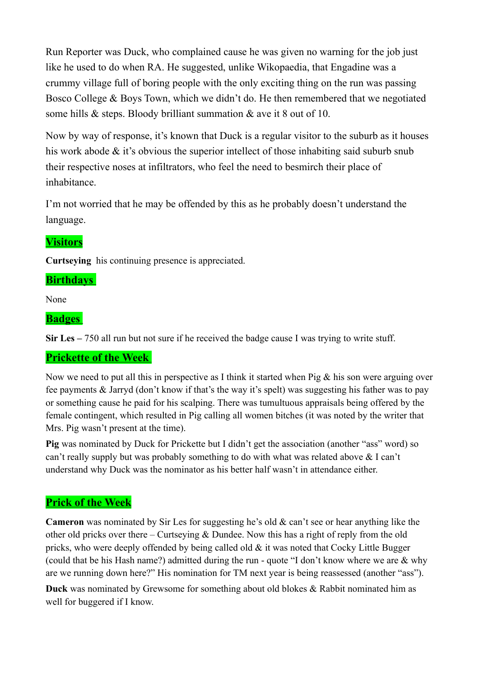Run Reporter was Duck, who complained cause he was given no warning for the job just like he used to do when RA. He suggested, unlike Wikopaedia, that Engadine was a crummy village full of boring people with the only exciting thing on the run was passing Bosco College & Boys Town, which we didn't do. He then remembered that we negotiated some hills & steps. Bloody brilliant summation & ave it 8 out of 10.

Now by way of response, it's known that Duck is a regular visitor to the suburb as it houses his work abode & it's obvious the superior intellect of those inhabiting said suburb snub their respective noses at infiltrators, who feel the need to besmirch their place of inhabitance.

I'm not worried that he may be offended by this as he probably doesn't understand the language.

## **Visitors**

**Curtseying** his continuing presence is appreciated.

### **Birthdays**

None

### **Badges**

**Sir Les –** 750 all run but not sure if he received the badge cause I was trying to write stuff.

### **Prickette of the Week**

Now we need to put all this in perspective as I think it started when Pig & his son were arguing over fee payments & Jarryd (don't know if that's the way it's spelt) was suggesting his father was to pay or something cause he paid for his scalping. There was tumultuous appraisals being offered by the female contingent, which resulted in Pig calling all women bitches (it was noted by the writer that Mrs. Pig wasn't present at the time).

**Pig** was nominated by Duck for Prickette but I didn't get the association (another "ass" word) so can't really supply but was probably something to do with what was related above & I can't understand why Duck was the nominator as his better half wasn't in attendance either.

### **Prick of the Week**

**Cameron** was nominated by Sir Les for suggesting he's old & can't see or hear anything like the other old pricks over there – Curtseying & Dundee. Now this has a right of reply from the old pricks, who were deeply offended by being called old & it was noted that Cocky Little Bugger (could that be his Hash name?) admitted during the run - quote "I don't know where we are & why are we running down here?" His nomination for TM next year is being reassessed (another "ass").

**Duck** was nominated by Grewsome for something about old blokes & Rabbit nominated him as well for buggered if I know.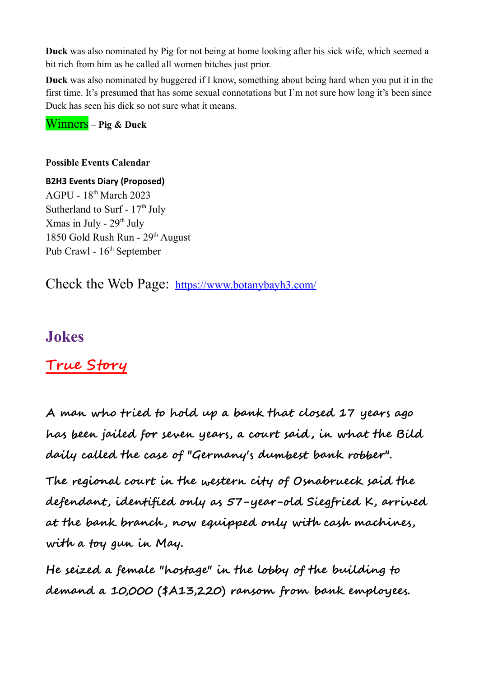**Duck** was also nominated by Pig for not being at home looking after his sick wife, which seemed a bit rich from him as he called all women bitches just prior.

**Duck** was also nominated by buggered if I know, something about being hard when you put it in the first time. It's presumed that has some sexual connotations but I'm not sure how long it's been since Duck has seen his dick so not sure what it means.

Winners – **Pig & Duck**

#### **Possible Events Calendar**

**B2H3 Events Diary (Proposed)** AGPU - 18th March 2023 Sutherland to Surf -  $17<sup>th</sup>$  July Xmas in July -  $29<sup>th</sup>$  July 1850 Gold Rush Run - 29<sup>th</sup> August Pub Crawl -  $16^{th}$  September

Check the Web Page: <https://www.botanybayh3.com/>

## **Jokes**

# **True Story**

**A man who tried to hold up a bank that closed 17 years ago has been jailed for seven years, a court said , in what the Bild daily called the case of "Germany's dumbest bank robber".**

**The regional court in the western city of Osnabrueck said the defendant, identified only as 57-year-old Siegfried K, arrived at the bank branch , now equipped only with cash machines, with a toy gun in May.**

**He seized a female "hostage" in the lobby of the building to demand a 10,000 (\$A13,220) ransom from bank employees.**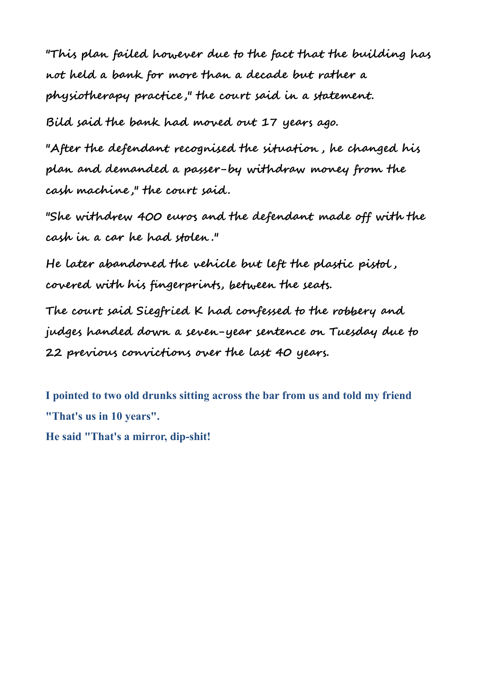**"This plan failed however due to the fact that the building has not held a bank for more than a decade but rather a physiotherapy practice ," the court said in a statement.**

**Bild said the bank had moved out 17 years ago.**

**"After the defendant recognised the situation , he changed his plan and demanded a passer-by withdraw money from the cash machine ," the court said.**

**"She withdrew 400 euros and the defendant made off with the cash in a car he had stolen ."**

**He later abandoned the vehicle but left the plastic pistol , covered with his fingerprints, between the seats.**

**The court said Siegfried K had confessed to the robbery and judges handed down a seven-year sentence on Tuesday due to 22 previous convictions over the last 40 years.**

**I pointed to two old drunks sitting across the bar from us and told my friend "That's us in 10 years". He said "That's a mirror, dip-shit!**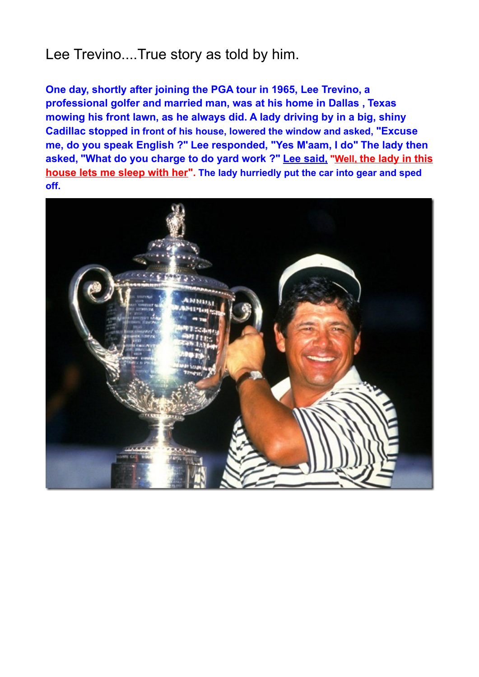# Lee Trevino....True story as told by him.

**One day, shortly after joining the PGA tour in 1965, Lee Trevino, a professional golfer and married man, was at his home in Dallas , Texas mowing his front lawn, as he always did. A lady driving by in a big, shiny Cadillac stopped in front of his house, lowered the window and asked, "Excuse me, do you speak English ?" Lee responded, "Yes M'aam, I do" The lady then asked, "What do you charge to do yard work ?" Lee said, " Well, the lady in this house lets me sleep with her". The lady hurriedly put the car into gear and sped off.**

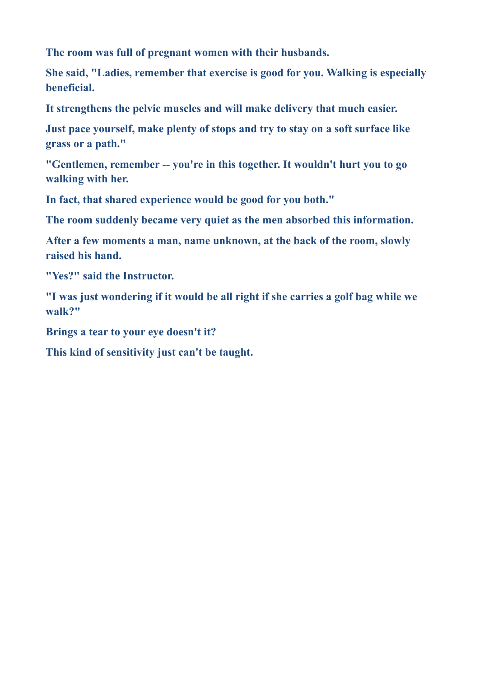**The room was full of pregnant women with their husbands.** 

**She said, "Ladies, remember that exercise is good for you. Walking is especially beneficial.** 

**It strengthens the pelvic muscles and will make delivery that much easier.**

**Just pace yourself, make plenty of stops and try to stay on a soft surface like grass or a path."**

**"Gentlemen, remember -- you're in this together. It wouldn't hurt you to go walking with her.** 

**In fact, that shared experience would be good for you both."**

**The room suddenly became very quiet as the men absorbed this information.**

**After a few moments a man, name unknown, at the back of the room, slowly raised his hand.**

**"Yes?" said the Instructor.**

**"I was just wondering if it would be all right if she carries a golf bag while we walk?"**

**Brings a tear to your eye doesn't it?** 

**This kind of sensitivity just can't be taught.**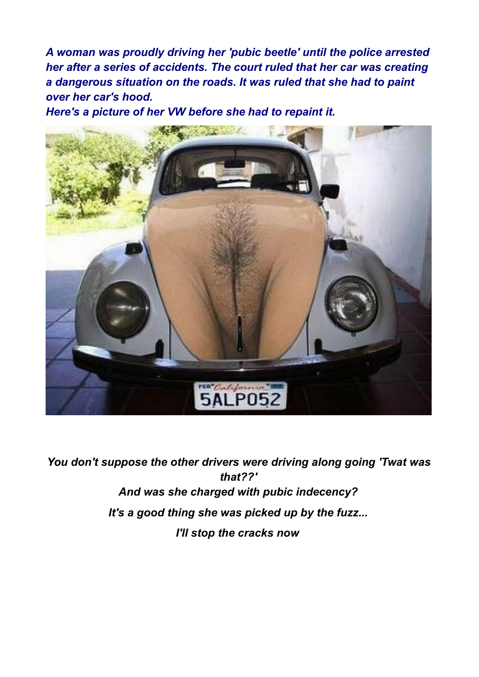*A woman was proudly driving her 'pubic beetle' until the police arrested her after a series of accidents. The court ruled that her car was creating a dangerous situation on the roads. It was ruled that she had to paint over her car's hood.*

*Here's a picture of her VW before she had to repaint it.*



*You don't suppose the other drivers were driving along going 'Twat was that??' And was she charged with pubic indecency? It's a good thing she was picked up by the fuzz... I'll stop the cracks now*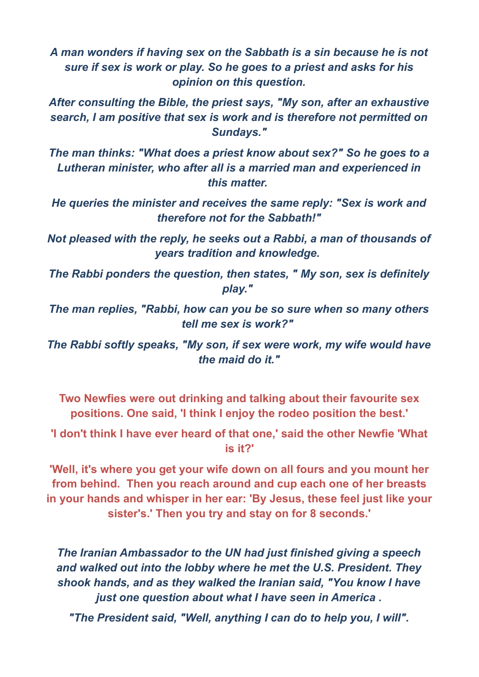*A man wonders if having sex on the Sabbath is a sin because he is not sure if sex is work or play. So he goes to a priest and asks for his opinion on this question.*

*After consulting the Bible, the priest says, "My son, after an exhaustive search, I am positive that sex is work and is therefore not permitted on Sundays."*

*The man thinks: "What does a priest know about sex?" So he goes to a Lutheran minister, who after all is a married man and experienced in this matter.* 

*He queries the minister and receives the same reply: "Sex is work and therefore not for the Sabbath!"*

*Not pleased with the reply, he seeks out a Rabbi, a man of thousands of years tradition and knowledge.* 

*The Rabbi ponders the question, then states, " My son, sex is definitely play."* 

*The man replies, "Rabbi, how can you be so sure when so many others tell me sex is work?"* 

*The Rabbi softly speaks, "My son, if sex were work, my wife would have the maid do it."*

**Two Newfies were out drinking and talking about their favourite sex positions. One said, 'I think I enjoy the rodeo position the best.'**

**'I don't think I have ever heard of that one,' said the other Newfie 'What is it?'**

**'Well, it's where you get your wife down on all fours and you mount her from behind. Then you reach around and cup each one of her breasts in your hands and whisper in her ear: 'By Jesus, these feel just like your sister's.' Then you try and stay on for 8 seconds.'**

*The Iranian Ambassador to the UN had just finished giving a speech and walked out into the lobby where he met the U.S. President. They shook hands, and as they walked the Iranian said, "You know I have just one question about what I have seen in America .*

*"The President said, "Well, anything I can do to help you, I will".*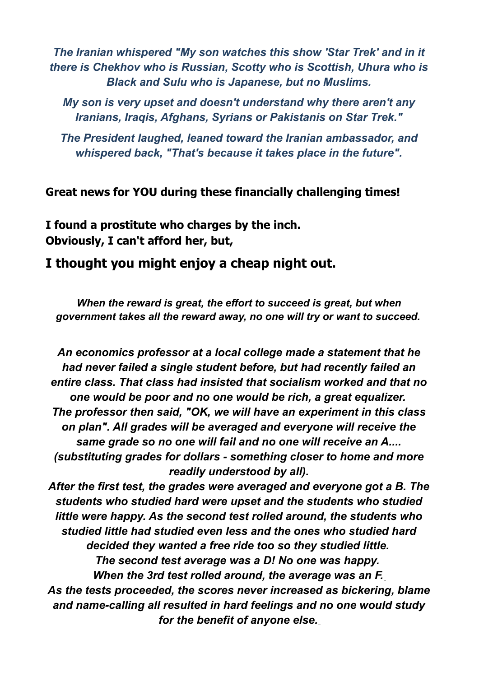*The Iranian whispered "My son watches this show 'Star Trek' and in it there is Chekhov who is Russian, Scotty who is Scottish, Uhura who is Black and Sulu who is Japanese, but no Muslims.*

*My son is very upset and doesn't understand why there aren't any Iranians, Iraqis, Afghans, Syrians or Pakistanis on Star Trek."*

*The President laughed, leaned toward the Iranian ambassador, and whispered back, "That's because it takes place in the future".*

**Great news for YOU during these financially challenging times!**

**I found a prostitute who charges by the inch. Obviously, I can't afford her, but,**

## **I thought you might enjoy a cheap night out.**

*When the reward is great, the effort to succeed is great, but when government takes all the reward away, no one will try or want to succeed.* 

*An economics professor at a local college made a statement that he had never failed a single student before, but had recently failed an entire class. That class had insisted that socialism worked and that no one would be poor and no one would be rich, a great equalizer. The professor then said, "OK, we will have an experiment in this class on plan". All grades will be averaged and everyone will receive the same grade so no one will fail and no one will receive an A.... (substituting grades for dollars - something closer to home and more readily understood by all).*

*After the first test, the grades were averaged and everyone got a B. The students who studied hard were upset and the students who studied little were happy. As the second test rolled around, the students who studied little had studied even less and the ones who studied hard decided they wanted a free ride too so they studied little. The second test average was a D! No one was happy. When the 3rd test rolled around, the average was an F. As the tests proceeded, the scores never increased as bickering, blame*

*and name-calling all resulted in hard feelings and no one would study for the benefit of anyone else.*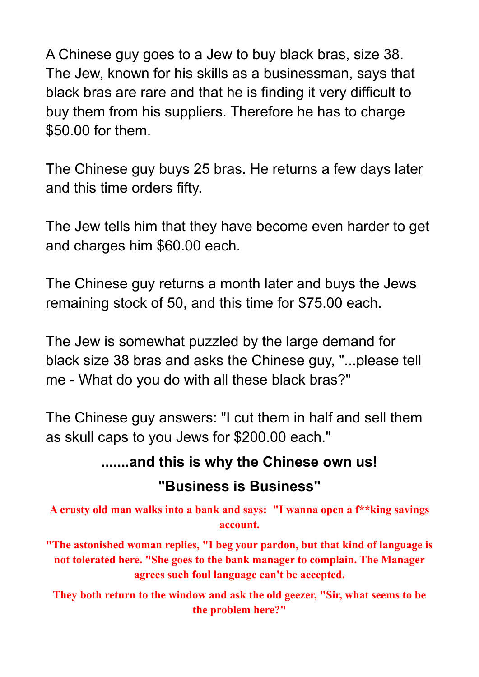A Chinese guy goes to a Jew to buy black bras, size 38. The Jew, known for his skills as a businessman, says that black bras are rare and that he is finding it very difficult to buy them from his suppliers. Therefore he has to charge \$50.00 for them.

The Chinese guy buys 25 bras. He returns a few days later and this time orders fifty.

The Jew tells him that they have become even harder to get and charges him \$60.00 each.

The Chinese guy returns a month later and buys the Jews remaining stock of 50, and this time for \$75.00 each.

The Jew is somewhat puzzled by the large demand for black size 38 bras and asks the Chinese guy, "...please tell me - What do you do with all these black bras?"

The Chinese guy answers: "I cut them in half and sell them as skull caps to you Jews for \$200.00 each."

# **.......and this is why the Chinese own us!**

# **"Business is Business"**

**A crusty old man walks into a bank and says: "I wanna open a f\*\*king savings account.**

**"The astonished woman replies, "I beg your pardon, but that kind of language is not tolerated here. "She goes to the bank manager to complain. The Manager agrees such foul language can't be accepted.**

**They both return to the window and ask the old geezer, "Sir, what seems to be the problem here?"**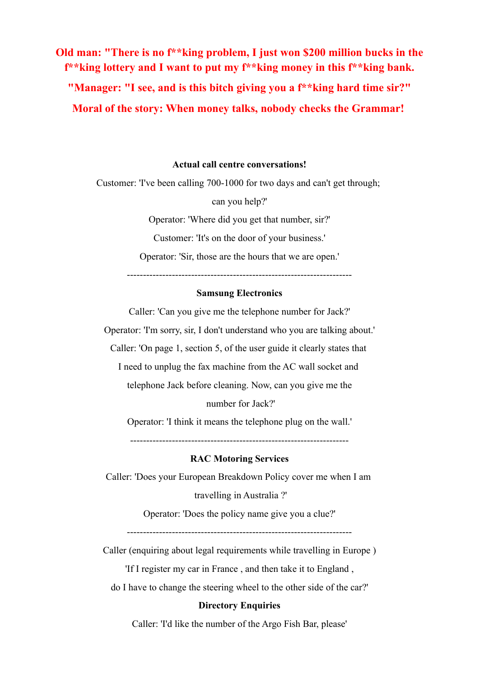**Old man: "There is no f\*\*king problem, I just won \$200 million bucks in the f\*\*king lottery and I want to put my f\*\*king money in this f\*\*king bank. "Manager: "I see, and is this bitch giving you a f\*\*king hard time sir?" Moral of the story: When money talks, nobody checks the Grammar!**

#### **Actual call centre conversations!**

Customer: 'I've been calling 700-1000 for two days and can't get through;

can you help?'

Operator: 'Where did you get that number, sir?'

Customer: 'It's on the door of your business.'

Operator: 'Sir, those are the hours that we are open.'

----------------------------------------------------------------------

#### **Samsung Electronics**

Caller: 'Can you give me the telephone number for Jack?' Operator: 'I'm sorry, sir, I don't understand who you are talking about.' Caller: 'On page 1, section 5, of the user guide it clearly states that I need to unplug the fax machine from the AC wall socket and telephone Jack before cleaning. Now, can you give me the number for Jack?'

Operator: 'I think it means the telephone plug on the wall.'

--------------------------------------------------------------------

#### **RAC Motoring Services**

Caller: 'Does your European Breakdown Policy cover me when I am

travelling in Australia ?'

Operator: 'Does the policy name give you a clue?'

----------------------------------------------------------------------

Caller (enquiring about legal requirements while travelling in Europe)

'If I register my car in France , and then take it to England ,

do I have to change the steering wheel to the other side of the car?'

#### **Directory Enquiries**

Caller: 'I'd like the number of the Argo Fish Bar, please'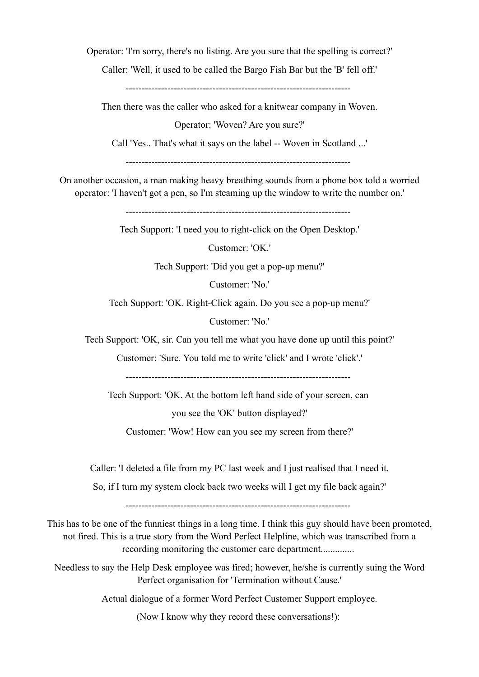Operator: 'I'm sorry, there's no listing. Are you sure that the spelling is correct?'

Caller: 'Well, it used to be called the Bargo Fish Bar but the 'B' fell off.'

----------------------------------------------------------------------

Then there was the caller who asked for a knitwear company in Woven.

Operator: 'Woven? Are you sure?'

Call 'Yes.. That's what it says on the label -- Woven in Scotland ...'

----------------------------------------------------------------------

On another occasion, a man making heavy breathing sounds from a phone box told a worried operator: 'I haven't got a pen, so I'm steaming up the window to write the number on.'

----------------------------------------------------------------------

Tech Support: 'I need you to right-click on the Open Desktop.'

Customer: 'OK.'

Tech Support: 'Did you get a pop-up menu?'

Customer: 'No.'

Tech Support: 'OK. Right-Click again. Do you see a pop-up menu?'

Customer: 'No.'

Tech Support: 'OK, sir. Can you tell me what you have done up until this point?'

Customer: 'Sure. You told me to write 'click' and I wrote 'click'.'

----------------------------------------------------------------------

Tech Support: 'OK. At the bottom left hand side of your screen, can

you see the 'OK' button displayed?'

Customer: 'Wow! How can you see my screen from there?'

Caller: 'I deleted a file from my PC last week and I just realised that I need it.

So, if I turn my system clock back two weeks will I get my file back again?'

----------------------------------------------------------------------

This has to be one of the funniest things in a long time. I think this guy should have been promoted, not fired. This is a true story from the Word Perfect Helpline, which was transcribed from a recording monitoring the customer care department..............

Needless to say the Help Desk employee was fired; however, he/she is currently suing the Word Perfect organisation for 'Termination without Cause.'

Actual dialogue of a former Word Perfect Customer Support employee.

(Now I know why they record these conversations!):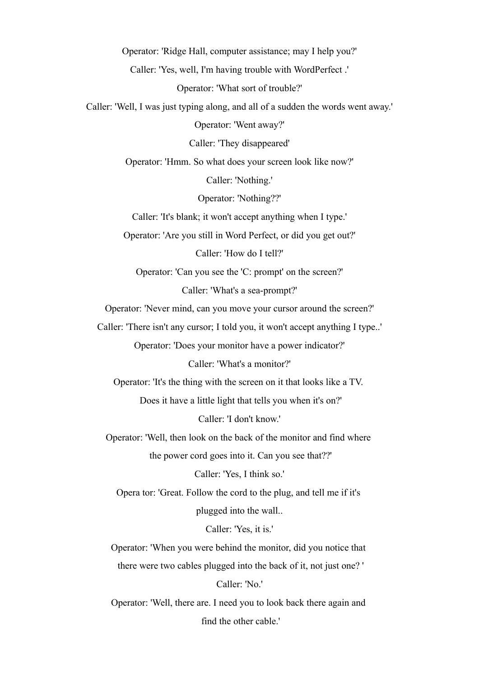Operator: 'Ridge Hall, computer assistance; may I help you?' Caller: 'Yes, well, I'm having trouble with WordPerfect .' Operator: 'What sort of trouble?' Caller: 'Well, I was just typing along, and all of a sudden the words went away.' Operator: 'Went away?' Caller: 'They disappeared' Operator: 'Hmm. So what does your screen look like now?' Caller: 'Nothing.' Operator: 'Nothing??' Caller: 'It's blank; it won't accept anything when I type.' Operator: 'Are you still in Word Perfect, or did you get out?' Caller: 'How do I tell?' Operator: 'Can you see the 'C: prompt' on the screen?' Caller: 'What's a sea-prompt?' Operator: 'Never mind, can you move your cursor around the screen?' Caller: 'There isn't any cursor; I told you, it won't accept anything I type..' Operator: 'Does your monitor have a power indicator?' Caller: 'What's a monitor?' Operator: 'It's the thing with the screen on it that looks like a TV. Does it have a little light that tells you when it's on?' Caller: 'I don't know.' Operator: 'Well, then look on the back of the monitor and find where the power cord goes into it. Can you see that??' Caller: 'Yes, I think so.' Opera tor: 'Great. Follow the cord to the plug, and tell me if it's plugged into the wall.. Caller: 'Yes, it is.' Operator: 'When you were behind the monitor, did you notice that there were two cables plugged into the back of it, not just one? ' Caller: 'No.' Operator: 'Well, there are. I need you to look back there again and

find the other cable.'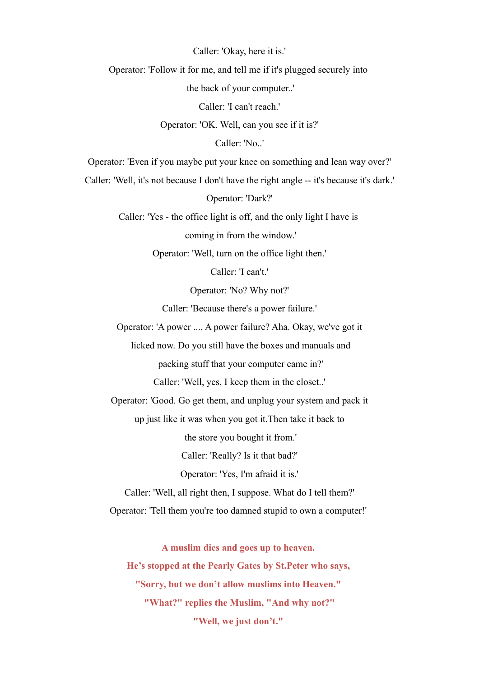Caller: 'Okay, here it is.'

Operator: 'Follow it for me, and tell me if it's plugged securely into

the back of your computer..'

Caller: 'I can't reach.'

Operator: 'OK. Well, can you see if it is?'

Caller: 'No..'

Operator: 'Even if you maybe put your knee on something and lean way over?'

Caller: 'Well, it's not because I don't have the right angle -- it's because it's dark.'

Operator: 'Dark?'

Caller: 'Yes - the office light is off, and the only light I have is

coming in from the window.'

Operator: 'Well, turn on the office light then.'

Caller: 'I can't.'

Operator: 'No? Why not?'

Caller: 'Because there's a power failure.'

Operator: 'A power .... A power failure? Aha. Okay, we've got it

licked now. Do you still have the boxes and manuals and

packing stuff that your computer came in?'

Caller: 'Well, yes, I keep them in the closet..'

Operator: 'Good. Go get them, and unplug your system and pack it

up just like it was when you got it.Then take it back to

the store you bought it from.'

Caller: 'Really? Is it that bad?'

Operator: 'Yes, I'm afraid it is.'

Caller: 'Well, all right then, I suppose. What do I tell them?'

Operator: 'Tell them you're too damned stupid to own a computer!'

**A muslim dies and goes up to heaven. He's stopped at the Pearly Gates by St.Peter who says, "Sorry, but we don't allow muslims into Heaven." "What?" replies the Muslim, "And why not?" "Well, we just don't."**